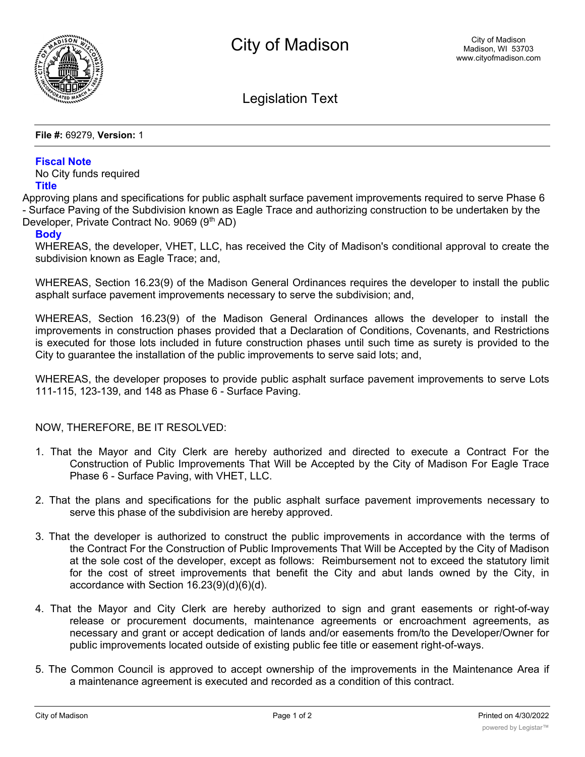

Legislation Text

**File #:** 69279, **Version:** 1

## **Fiscal Note**

No City funds required **Title**

Approving plans and specifications for public asphalt surface pavement improvements required to serve Phase 6 - Surface Paving of the Subdivision known as Eagle Trace and authorizing construction to be undertaken by the Developer, Private Contract No. 9069 (9<sup>th</sup> AD)

## **Body**

WHEREAS, the developer, VHET, LLC, has received the City of Madison's conditional approval to create the subdivision known as Eagle Trace; and,

WHEREAS, Section 16.23(9) of the Madison General Ordinances requires the developer to install the public asphalt surface pavement improvements necessary to serve the subdivision; and,

WHEREAS, Section 16.23(9) of the Madison General Ordinances allows the developer to install the improvements in construction phases provided that a Declaration of Conditions, Covenants, and Restrictions is executed for those lots included in future construction phases until such time as surety is provided to the City to guarantee the installation of the public improvements to serve said lots; and,

WHEREAS, the developer proposes to provide public asphalt surface pavement improvements to serve Lots 111-115, 123-139, and 148 as Phase 6 - Surface Paving.

NOW, THEREFORE, BE IT RESOLVED:

- 1. That the Mayor and City Clerk are hereby authorized and directed to execute a Contract For the Construction of Public Improvements That Will be Accepted by the City of Madison For Eagle Trace Phase 6 - Surface Paving, with VHET, LLC.
- 2. That the plans and specifications for the public asphalt surface pavement improvements necessary to serve this phase of the subdivision are hereby approved.
- 3. That the developer is authorized to construct the public improvements in accordance with the terms of the Contract For the Construction of Public Improvements That Will be Accepted by the City of Madison at the sole cost of the developer, except as follows: Reimbursement not to exceed the statutory limit for the cost of street improvements that benefit the City and abut lands owned by the City, in accordance with Section 16.23(9)(d)(6)(d).
- 4. That the Mayor and City Clerk are hereby authorized to sign and grant easements or right-of-way release or procurement documents, maintenance agreements or encroachment agreements, as necessary and grant or accept dedication of lands and/or easements from/to the Developer/Owner for public improvements located outside of existing public fee title or easement right-of-ways.
- 5. The Common Council is approved to accept ownership of the improvements in the Maintenance Area if a maintenance agreement is executed and recorded as a condition of this contract.